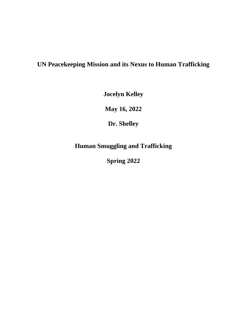# **UN Peacekeeping Mission and its Nexus to Human Trafficking**

**Jocelyn Kelley**

**May 16, 2022**

**Dr. Shelley**

**Human Smuggling and Trafficking**

**Spring 2022**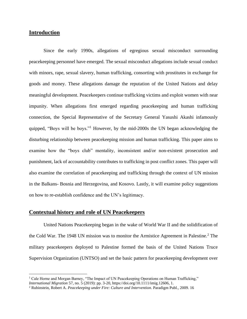# **Introduction**

Since the early 1990s, allegations of egregious sexual misconduct surrounding peacekeeping personnel have emerged. The sexual misconduct allegations include sexual conduct with minors, rape, sexual slavery, human trafficking, consorting with prostitutes in exchange for goods and money. These allegations damage the reputation of the United Nations and delay meaningful development. Peacekeepers continue trafficking victims and exploit women with near impunity. When allegations first emerged regarding peacekeeping and human trafficking connection, the Special Representative of the Secretary General Yasushi Akashi infamously quipped, "Boys will be boys."<sup>1</sup> However, by the mid-2000s the UN began acknowledging the disturbing relationship between peacekeeping mission and human trafficking. This paper aims to examine how the "boys club" mentality, inconsistent and/or non-existent prosecution and punishment, lack of accountability contributes to trafficking in post conflict zones. This paper will also examine the correlation of peacekeeping and trafficking through the context of UN mission in the Balkans- Bosnia and Herzegovina, and Kosovo. Lastly, it will examine policy suggestions on how to re-establish confidence and the UN's legitimacy.

#### **Contextual history and role of UN Peacekeepers**

United Nations Peacekeeping began in the wake of World War II and the solidification of the Cold War. The 1948 UN mission was to monitor the Armistice Agreement in Palestine.<sup>2</sup> The military peacekeepers deployed to Palestine formed the basis of the United Nations Truce Supervision Organization (UNTSO) and set the basic pattern for peacekeeping development over

<sup>&</sup>lt;sup>1</sup> Cale Horne and Morgan Barney, "The Impact of UN Peacekeeping Operations on Human Trafficking," *International Migration* 57, no. 5 (2019): pp. 3-20, https://doi.org/10.1111/imig.12606, 1.

<sup>2</sup> Rubinstein, Robert A. *Peacekeeping under Fire: Culture and Intervention*. Paradigm Publ., 2009. 16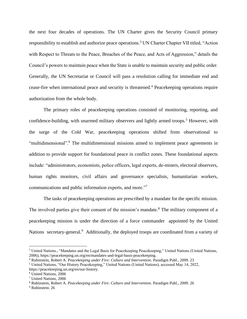the next four decades of operations. The UN Charter gives the Security Council primary responsibility to establish and authorize peace operations.<sup>3</sup> UN Charter Chapter VII titled, "Action" with Respect to Threats to the Peace, Breaches of the Peace, and Acts of Aggression," details the Council's powers to maintain peace when the State is unable to maintain security and public order. Generally, the UN Secretariat or Council will pass a resolution calling for immediate end and cease-fire when international peace and security is threatened.<sup>4</sup> Peacekeeping operations require authorization from the whole body.

The primary roles of peacekeeping operations consisted of monitoring, reporting, and confidence-building, with unarmed military observers and lightly armed troops.<sup>5</sup> However, with the surge of the Cold War, peacekeeping operations shifted from observational to "multidimensional".<sup>6</sup> The multidimensional missions aimed to implement peace agreements in addition to provide support for foundational peace in conflict zones. These foundational aspects include: "administrators, economists, police officers, legal experts, de-miners, electoral observers, human rights monitors, civil affairs and governance specialists, humanitarian workers, communications and public information experts, and more."<sup>7</sup>

The tasks of peacekeeping operations are prescribed by a mandate for the specific mission. The involved parties give their consent of the mission's mandate.<sup>8</sup> The military component of a peacekeeping mission is under the direction of a force commander appointed by the United Nations secretary-general.<sup>9</sup> Additionally, the deployed troops are coordinated from a variety of

<sup>&</sup>lt;sup>3</sup> United Nations., "Mandates and the Legal Basis for Peacekeeping Peacekeeping," United Nations (United Nations, 2006), https://peacekeeping.un.org/en/mandates-and-legal-basis-peacekeeping.

<sup>4</sup> Rubinstein, Robert A. *Peacekeeping under Fire: Culture and Intervention*. Paradigm Publ., 2009. 23

<sup>5</sup> United Nations, "Our History Peacekeeping," United Nations (United Nations), accessed May 14, 2022, https://peacekeeping.un.org/en/our-history.

<sup>6</sup> United Nations, 2006

<sup>7</sup> United Nations, 2006

<sup>8</sup> Rubinstein, Robert A. *Peacekeeping under Fire: Culture and Intervention*. Paradigm Publ., 2009. 26

<sup>&</sup>lt;sup>9</sup> Rubinstein. 26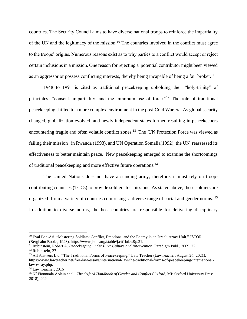countries. The Security Council aims to have diverse national troops to reinforce the impartiality of the UN and the legitimacy of the mission.<sup>10</sup> The countries involved in the conflict must agree to the troops' origins. Numerous reasons exist as to why parties to a conflict would accept or reject certain inclusions in a mission. One reason for rejecting a potential contributor might been viewed as an aggressor or possess conflicting interests, thereby being incapable of being a fair broker.<sup>11</sup>

1948 to 1991 is cited as traditional peacekeeping upholding the "holy-trinity" of principles- "consent, impartiality, and the minimum use of force."<sup>12</sup> The role of traditional peacekeeping shifted to a more complex environment in the post-Cold War era. As global security changed, globalization evolved, and newly independent states formed resulting in peacekeepers encountering fragile and often volatile conflict zones.<sup>13</sup> The UN Protection Force was viewed as failing their mission in Rwanda (1993), and UN Operation Somalia(1992), the UN reassessed its effectiveness to better maintain peace. New peacekeeping emerged to examine the shortcomings of traditional peacekeeping and more effective future operations.<sup>14</sup>

The United Nations does not have a standing army; therefore, it must rely on troopcontributing countries (TCCs) to provide soldiers for missions. As stated above, these soldiers are organized from a variety of countries comprising a diverse range of social and gender norms. <sup>15</sup> In addition to diverse norms, the host countries are responsible for delivering disciplinary

<sup>10</sup> Eyal Ben-Ari, "Mastering Soldiers: Conflict, Emotions, and the Enemy in an Israeli Army Unit," JSTOR (Berghahn Books, 1998), https://www.jstor.org/stable/j.ctt1btbw9p.21.

<sup>11</sup> Rubinstein, Robert A. *Peacekeeping under Fire: Culture and Intervention*. Paradigm Publ., 2009. 27 <sup>12</sup> Rubinstein, 27

<sup>&</sup>lt;sup>13</sup> All Answers Ltd, "The Traditional Forms of Peacekeeping," Law Teacher (LawTeacher, August 26, 2021), https://www.lawteacher.net/free-law-essays/international-law/the-traditional-forms-of-peacekeeping-internationallaw-essay.php.

<sup>&</sup>lt;sup>14</sup> Law Teacher, 2016

<sup>15</sup> Ní Fionnuala Aoláin et al., *The Oxford Handbook of Gender and Conflict* (Oxford, MI: Oxford University Press, 2018), 409.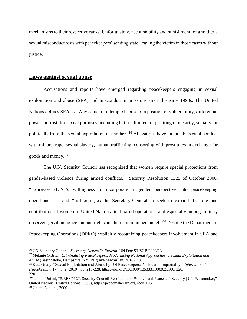mechanisms to their respective ranks. Unfortunately, accountability and punishment for a soldier's sexual misconduct rests with peacekeepers' sending state, leaving the victim in those cases without justice.

## **Laws against sexual abuse**

Accusations and reports have emerged regarding peacekeepers engaging in sexual exploitation and abuse (SEA) and misconduct in missions since the early 1990s. The United Nations defines SEA as: 'Any actual or attempted abuse of a position of vulnerability, differential power, or trust, for sexual purposes, including but not limited to, profiting monetarily, socially, or politically from the sexual exploitation of another.'<sup>16</sup> Allegations have included: "sexual conduct with minors, rape, sexual slavery, human trafficking, consorting with prostitutes in exchange for goods and money."<sup>17</sup>

The U.N. Security Council has recognized that women require special protections from gender-based violence during armed conflicts.<sup>18</sup> Security Resolution 1325 of October 2000, "Expresses (U.N)'s willingness to incorporate a gender perspective into peacekeeping operations…"<sup>19</sup> and "further urges the Secretary-General to seek to expand the role and contribution of women in United Nations field-based operations, and especially among military observers, civilian police, human rights and humanitarian personnel;"<sup>20</sup> Despite the Department of Peacekeeping Operations (DPKO) explicitly recognizing peacekeepers involvement in SEA and

<sup>16</sup> UN Secretary General, *Secretary-General's Bulletin,* UN Doc ST/SGB/2003/13.

<sup>17</sup> Melanie O'Brien, *Criminalising Peacekeepers: Modernising National Approaches to Sexual Exploitation and Abuse* (Basingstoke, Hampshire, NY: Palgrave Macmillan, 2018), 18.

<sup>18</sup> Kate Grady, "Sexual Exploitation and Abuse by UN Peacekeepers: A Threat to Impartiality," *International Peacekeeping* 17, no. 2 (2010): pp. 215-228, https://doi.org/10.1080/13533311003625100, 220. 220

<sup>&</sup>lt;sup>19</sup>Nations United, "S/RES/1325. Security Council Resolution on Women and Peace and Security | UN Peacemaker," United Nations (United Nations, 2000), https://peacemaker.un.org/node/105.

<sup>20</sup> United Nations, 2000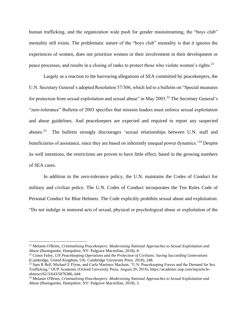human trafficking, and the organization wide push for gender mainstreaming, the "boys club" mentality still exists. The problematic nature of the "boys club" mentality is that it ignores the experiences of women, does not prioritize women or their involvement in their development or peace processes, and results in a closing of ranks to protect those who violate women's rights.<sup>21</sup>

Largely as a reaction to the harrowing allegations of SEA committed by peacekeepers, the U.N. Secretary General's adopted Resolution 57/306, which led to a bulletin on "Special measures for protection from sexual exploitation and sexual abuse" in May 2003.<sup>22</sup> The Secretary General's "zero-tolerance" Bulletin of 2003 specifies that mission leaders must enforce sexual exploitation and abuse guidelines. And peacekeepers are expected and required to report any suspected abuses.<sup>23</sup> The bulletin strongly discourages 'sexual relationships between U.N. staff and beneficiaries of assistance, since they are based on inherently unequal power dynamics.<sup>24</sup> Despite its well intentions, the restrictions are proven to have little effect, based in the growing numbers of SEA cases.

In addition to the zero-tolerance policy, the U.N. maintains the Codes of Conduct for military and civilian police. The U.N. Codes of Conduct incorporates the Ten Rules Code of Personal Conduct for Blue Helmets. The Code explicitly prohibits sexual abuse and exploitation: "Do not indulge in immoral acts of sexual, physical or psychological abuse or exploitation of the

<sup>21</sup> Melanie O'Brien, *Criminalising Peacekeepers: Modernising National Approaches to Sexual Exploitation and Abuse* (Basingstoke, Hampshire, NY: Palgrave Macmillan, 2018), 8.

<sup>22</sup> Conor Foley, *UN Peacekeeping Operations and the Protection of Civilians: Saving Succeeding Generations* (Cambridge, United Kingdom, UK: Cambridge University Press, 2018), 248.

<sup>&</sup>lt;sup>23</sup> Sam R Bell, Michael E Flynn, and Carla Martinez Machain, "U.N. Peacekeeping Forces and the Demand for Sex Trafficking," OUP Academic (Oxford University Press, August 20, 2018), https://academic.oup.com/isq/articleabstract/62/3/643/5076386, 644.

<sup>24</sup> Melanie O'Brien, *Criminalising Peacekeepers: Modernising National Approaches to Sexual Exploitation and Abuse* (Basingstoke, Hampshire, NY: Palgrave Macmillan, 2018), 3.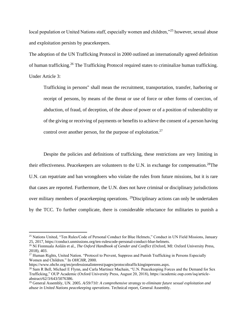local population or United Nations staff, especially women and children,"<sup>25</sup> however, sexual abuse and exploitation persists by peacekeepers.

The adoption of the UN Trafficking Protocol in 2000 outlined an internationally agreed definition of human trafficking.<sup>26</sup> The Trafficking Protocol required states to criminalize human trafficking. Under Article 3:

Trafficking in persons" shall mean the recruitment, transportation, transfer, harboring or receipt of persons, by means of the threat or use of force or other forms of coercion, of abduction, of fraud, of deception, of the abuse of power or of a position of vulnerability or of the giving or receiving of payments or benefits to achieve the consent of a person having control over another person, for the purpose of exploitation.<sup>27</sup>

Despite the policies and definitions of trafficking, these restrictions are very limiting in their effectiveness. Peacekeepers are volunteers to the U.N. in exchange for compensation.<sup>28</sup>The U.N. can repatriate and ban wrongdoers who violate the rules from future missions, but it is rare that cases are reported. Furthermore, the U.N. does not have criminal or disciplinary jurisdictions over military members of peacekeeping operations. <sup>29</sup>Disciplinary actions can only be undertaken by the TCC. To further complicate, there is considerable reluctance for militaries to punish a

<sup>&</sup>lt;sup>25</sup> Nations United, "Ten Rules/Code of Personal Conduct for Blue Helmets," Conduct in UN Field Missions, January 25, 2017, https://conduct.unmissions.org/ten-rulescode-personal-conduct-blue-helmets.

<sup>26</sup> Ní Fionnuala Aoláin et al., *The Oxford Handbook of Gender and Conflict* (Oxford, MI: Oxford University Press, 2018), 403.

<sup>&</sup>lt;sup>27</sup> Human Rights, United Nation. "Protocol to Prevent, Suppress and Punish Trafficking in Persons Especially Women and Children." In *OHCHR*, 2000.

https://www.ohchr.org/en/professionalinterest/pages/protocoltraffickinginpersons.aspx.

<sup>&</sup>lt;sup>28</sup> Sam R Bell, Michael E Flynn, and Carla Martinez Machain, "U.N. Peacekeeping Forces and the Demand for Sex Trafficking," OUP Academic (Oxford University Press, August 20, 2018), https://academic.oup.com/isq/articleabstract/62/3/643/5076386.

<sup>29</sup> General Assembly, UN. 2005. *A/59/710: A comprehensive strategy to eliminate future sexual exploitation and abuse in United Nations peacekeeping operations*. Technical report, General Assembly.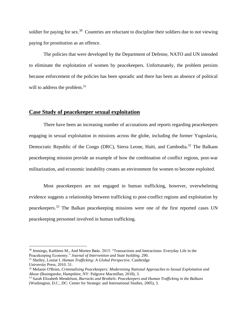soldier for paying for sex.<sup>30</sup> Countries are reluctant to discipline their soldiers due to not viewing paying for prostitution as an offence.

The policies that were developed by the Department of Defense, NATO and UN intended to eliminate the exploitation of women by peacekeepers. Unfortunately, the problem persists because enforcement of the policies has been sporadic and there has been an absence of political will to address the problem.<sup>31</sup>

#### **Case Study of peacekeeper sexual exploitation**

There have been an increasing number of accusations and reports regarding peacekeepers engaging in sexual exploitation in missions across the globe, including the former Yugoslavia, Democratic Republic of the Congo (DRC), Sierra Leone, Haiti, and Cambodia.<sup>32</sup> The Balkans peacekeeping mission provide an example of how the combination of conflict regions, post-war militarization, and economic instability creates an environment for women to become exploited.

Most peacekeepers are not engaged in human trafficking, however, overwhelming evidence suggests a relationship between trafficking to post-conflict regions and exploitation by peacekeepers.<sup>33</sup> The Balkan peacekeeping missions were one of the first reported cases UN peacekeeping personnel involved in human trafficking.

<sup>30</sup> Jennings, Kathleen M., And Morten Bøås. 2015. "Transactions and Interactions: Everyday Life in the Peacekeeping Economy." *Journal of Intervention and State building.* 290.

<sup>31</sup> Shelley, Louise I. *Human Trafficking: A Global Perspective*. Cambridge University Press, 2010. 51.

<sup>32</sup> Melanie O'Brien, *Criminalising Peacekeepers: Modernising National Approaches to Sexual Exploitation and Abuse* (Basingstoke, Hampshire, NY: Palgrave Macmillan, 2018), 3.

<sup>33</sup> Sarah Elizabeth Mendelson, *Barracks and Brothels: Peacekeepers and Human Trafficking in the Balkans* (Washington, D.C., DC: Center for Strategic and International Studies, 2005), 3.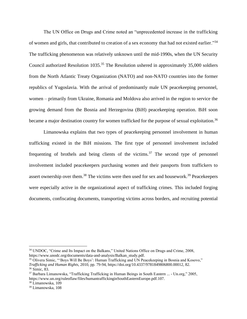The UN Office on Drugs and Crime noted an "unprecedented increase in the trafficking of women and girls, that contributed to creation of a sex economy [that had not existed earlier.](https://www.mensenhandelweb.nl/en/system/files/documents/09%20dec%202014/nelson_2004_literature_review_and_analysis_related_to_human_4.pdf)"<sup>34</sup> The trafficking phenomenon was relatively unknown until the mid-1990s, when the UN Security Council authorized Resolution  $1035^{35}$  The Resolution ushered in approximately 35,000 soldiers from the North Atlantic Treaty Organization (NATO) and non-NATO countries into the former republics of Yugoslavia. With the arrival of predominantly male UN peacekeeping personnel, women – primarily from Ukraine, Romania and Moldova also arrived in the region to service the growing demand from the Bosnia and Herzegovina (BiH) peacekeeping operation. BiH soon became a major destination country for women trafficked for the purpose of sexual exploitation.<sup>36</sup>

Limanowska explains that two types of peacekeeping personnel involvement in human trafficking existed in the BiH missions. The first type of personnel involvement included frequenting of brothels and being clients of the victims. $37$  The second type of personnel involvement included peacekeepers purchasing women and their passports from traffickers to assert ownership over them.<sup>38</sup> The victims were then used for sex and housework.<sup>39</sup> Peacekeepers were especially active in the organizational aspect of trafficking crimes. This included forging documents, confiscating documents, transporting victims across borders, and recruiting potential

<sup>38</sup> Limanowska, 109

<sup>&</sup>lt;sup>34</sup> UNDOC, "Crime and Its Impact on the Balkans," United Nations Office on Drugs and Crime, 2008, https://www.unodc.org/documents/data-and-analysis/Balkan\_study.pdf.

<sup>35</sup> Olivera Simic, "'Boys Will Be Boys': Human Trafficking and UN Peacekeeping in Bosnia and Kosovo," *Trafficking and Human Rights*, 2010, pp. 79-94, https://doi.org/10.4337/9781849806800.00012, 82. <sup>36</sup> Simic, 83.

<sup>37</sup> Barbara Limanowska, "Trafficking Trafficking in Human Beings in South Eastern ... - Un.org," 2005, https://www.un.org/ruleoflaw/files/humantraffickinginSouthEasternEurope.pdf.107.

<sup>39</sup> Limanowska, 108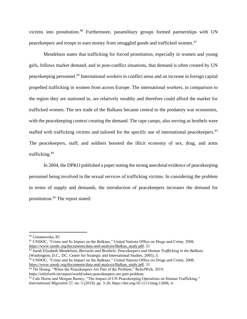victims into prostitution.<sup>40</sup> Furthermore, paramilitary groups formed partnerships with UN peacekeepers and troops to earn money from smuggled goods and trafficked women.<sup>41</sup>

Mendelson states that trafficking for forced prostitution, especially in women and young girls, follows market demand, and in post-conflict situations, that demand is often created by UN peacekeeping personnel.<sup>42</sup> International workers in conflict areas and an increase in foreign capital propelled trafficking in women from across Europe. The international workers, in comparison to the region they are stationed in, are relatively wealthy and therefore could afford the market for trafficked women. The sex trade of the Balkans became central to the predatory war economies, with the peacekeeping context creating the demand. The rape camps, also serving as brothels were staffed with trafficking victims and tailored for the specific use of international peacekeepers.<sup>43</sup> The peacekeepers, staff, and soldiers boosted the illicit economy of sex, drug, and arms trafficking.<sup>44</sup>

In 2004, the DPKO published a paper noting the strong anecdotal evidence of peacekeeping personnel being involved in the sexual services of trafficking victims. In considering the problem in terms of supply and demands, the introduction of peacekeepers increases the demand for prostitution.<sup>45</sup> The report stated:

<sup>41</sup> UNDOC, "Crime and Its Impact on the Balkans," United Nations Office on Drugs and Crime, 2008, [https://www.unodc.org/documents/data-and-analysis/Balkan\\_study.pdf.](https://www.unodc.org/documents/data-and-analysis/Balkan_study.pdf) 51

<sup>42</sup> Sarah Elizabeth Mendelson, *Barracks and Brothels: Peacekeepers and Human Trafficking in the Balkans* (Washington, D.C., DC: Center for Strategic and International Studies, 2005), 5.

<sup>43</sup> UNDOC, "Crime and Its Impact on the Balkans," United Nations Office on Drugs and Crime, 2008, [https://www.unodc.org/documents/data-and-analysis/Balkan\\_study.pdf.](https://www.unodc.org/documents/data-and-analysis/Balkan_study.pdf) 51

https://reliefweb.int/report/world/when-peacekeepers-are-part-problem.

<sup>40</sup> Limanowska, 83

<sup>44</sup> Thi Hoang, "When the Peacekeepers Are Part of the Problem," ReliefWeb, 2019,

<sup>&</sup>lt;sup>45</sup> Cale Horne and Morgan Barney, "The Impact of UN Peacekeeping Operations on Human Trafficking," *International Migration* 57, no. 5 (2019): pp. 3-20, https://doi.org/10.1111/imig.12606, 4.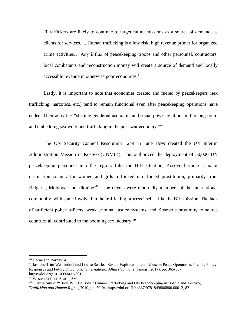[T]raffickers are likely to continue to target future missions as a source of demand, as clients for services. ... Human trafficking is a low risk, high revenue primer for organized crime activities… Any influx of peacekeeping troops and other personnel, contractors, local combatants and reconstruction money will create a source of demand and locally accessible revenue in otherwise poor economies.<sup>46</sup>

Lastly, it is important to note that economies created and fueled by peacekeepers (sex trafficking, narcotics, etc.) tend to remain functional even after peacekeeping operations have ended. Their activities "shaping gendered economic and social power relations in the long term' and embedding sex work and trafficking in the post-war economy."<sup>47</sup>

The UN Security Council Resolution 1244 in June 1999 created the UN Interim Administration Mission in Kosovo (UNMIK). This authorized the deployment of 50,000 UN peacekeeping personnel into the region. Like the BiH situation, Kosovo became a major destination country for women and girls trafficked into forced prostitution, primarily from Bulgaria, Moldova, and Ukraine.<sup>48</sup> The clients were reportedly members of the international community, with some involved in the trafficking process itself – like the BiH mission. The lack of sufficient police officers, weak criminal justice systems, and Kosovo's proximity to source countries all contributed to the booming sex industry.<sup>49</sup>

<sup>46</sup> Horne and Barney, 4

<sup>47</sup> Jasmine-Kim Westendorf and Louise Searle, "Sexual Exploitation and Abuse in Peace Operations: Trends, Policy Responses and Future Directions," *International Affairs* 93, no. 2 (January 2017): pp. 365-387, https://doi.org/10.1093/ia/iix001.

<sup>48</sup> Westendorf and Searle, 380

<sup>49</sup> Olivera Simic, "'Boys Will Be Boys': Human Trafficking and UN Peacekeeping in Bosnia and Kosovo," *Trafficking and Human Rights*, 2010, pp. 79-94, https://doi.org/10.4337/9781849806800.00012, 82.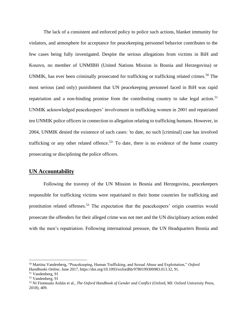The lack of a consistent and enforced policy to police such actions, blanket immunity for violators, and atmosphere for acceptance for peacekeeping personnel behavior contributes to the few cases being fully investigated. Despite the serious allegations from victims in BiH and Kosovo, no member of UNMIBH (United Nations Mission in Bosnia and Herzegovina) or UNMIK, has ever been criminally prosecuted for trafficking or trafficking related crimes.<sup>50</sup> The most serious (and only) punishment that UN peacekeeping personnel faced in BiH was rapid repatriation and a non-binding promise from the contributing country to take legal action.<sup>51</sup> UNMIK acknowledged peacekeepers' involvement in trafficking women in 2001 and repatriated ten UNMIK police officers in connection to allegation relating to trafficking humans. However, in 2004, UNMIK denied the existence of such cases: 'to date, no such [criminal] case has involved trafficking or any other related offence.<sup>52</sup> To date, there is no evidence of the home country prosecuting or disciplining the police officers.

### **UN Accountability**

Following the travesty of the UN Mission in Bosnia and Herzegovina, peacekeepers responsible for trafficking victims were repatriated to their home countries for trafficking and prostitution related offenses.<sup>53</sup> The expectation that the peacekeepers' origin countries would prosecute the offenders for their alleged crime was not met and the UN disciplinary actions ended with the men's repatriation. Following international pressure, the UN Headquarters Bosnia and

<sup>50</sup> Martina Vandenberg, "Peacekeeping, Human Trafficking, and Sexual Abuse and Exploitation," *Oxford Handbooks Online*, June 2017, https://doi.org/10.1093/oxfordhb/9780199300983.013.32, 91.

<sup>51</sup> Vandenberg, 91

<sup>52</sup> Vandenberg, 91

<sup>53</sup> Ní Fionnuala Aoláin et al., *The Oxford Handbook of Gender and Conflict* (Oxford, MI: Oxford University Press, 2018), 409.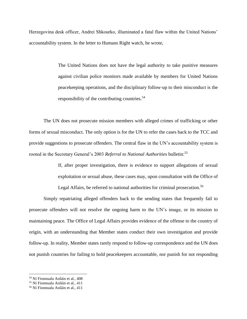Herzegovina desk officer, Andrei Shkourko, illuminated a fatal flaw within the United Nations' accountability system. In the letter to Humans Right watch, he wrote,

> The United Nations does not have the legal authority to take punitive measures against civilian police monitors made available by members for United Nations peacekeeping operations, and the disciplinary follow-up to their misconduct is the responsibility of the contributing countries.<sup>54</sup>

The UN does not prosecute mission members with alleged crimes of trafficking or other forms of sexual misconduct. The only option is for the UN to refer the cases back to the TCC and provide suggestions to prosecute offenders. The central flaw in the UN's accountability system is rooted in the Secretary General's 2003 *Referral to National Authorities* bulletin:<sup>55</sup>

> If, after proper investigation, there is evidence to support allegations of sexual exploitation or sexual abuse, these cases may, upon consultation with the Office of Legal Affairs, be referred to national authorities for criminal prosecution.<sup>56</sup>

Simply repatriating alleged offenders back to the sending states that frequently fail to prosecute offenders will not resolve the ongoing harm to the UN's image, or its mission to maintaining peace. The Office of Legal Affairs provides evidence of the offense to the country of origin, with an understanding that Member states conduct their own investigation and provide follow-up. In reality, Member states rarely respond to follow-up correspondence and the UN does not punish countries for failing to hold peacekeepers accountable, nor punish for not responding

<sup>54</sup> Ní Fionnuala Aoláin et al., 408

<sup>55</sup> Ní Fionnuala Aoláin et al., 411

<sup>56</sup> Ní Fionnuala Aoláin et al., 411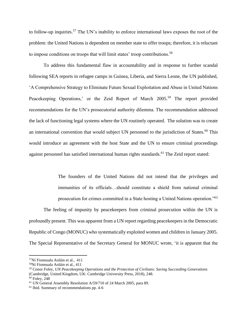to follow-up inquiries.<sup>57</sup> The UN's inability to enforce international laws exposes the root of the problem: the United Nations is dependent on member state to offer troops; therefore, it is reluctant to impose conditions on troops that will limit states' troop contributions.<sup>58</sup>

To address this fundamental flaw in accountability and in response to further scandal following SEA reports in refugee camps in Guinea, Liberia, and Sierra Leone, the UN published, 'A Comprehensive Strategy to Eliminate Future Sexual Exploitation and Abuse in United Nations Peacekeeping Operations,' or the Zeid Report of March 2005.<sup>59</sup> The report provided recommendations for the UN's prosecutorial authority dilemma. The recommendation addressed the lack of functioning legal systems where the UN routinely operated. The solution was to create an international convention that would subject UN personnel to the jurisdiction of States.<sup>60</sup> This would introduce an agreement with the host State and the UN to ensure criminal proceedings against personnel has satisfied international human rights standards.<sup>61</sup> The Zeid report stated:

> The founders of the United Nations did not intend that the privileges and immunities of its officials…should constitute a shield from national criminal prosecution for crimes committed in a State hosting a United Nations operation."<sup>62</sup>

The feeling of impunity by peacekeepers from criminal prosecution within the UN is profoundly present. This was apparent from a UN report regarding peacekeepers in the Democratic Republic of Congo (MONUC) who systematically exploited women and children in January 2005. The Special Representative of the Secretary General for MONUC wrote, 'it is apparent that the

<sup>57</sup>Ní Fionnuala Aoláin et al., 411

<sup>58</sup>Ní Fionnuala Aoláin et al., 411

<sup>59</sup> Conor Foley, *UN Peacekeeping Operations and the Protection of Civilians: Saving Succeeding Generations* (Cambridge, United Kingdom, UK: Cambridge University Press, 2018), 248. <sup>60</sup> Foley, 248

<sup>61</sup> UN General Assembly Resolution A/59/710 of 24 March 2005, para 89.

 $62$  Ibid. Summary of recommendations pp. 4-6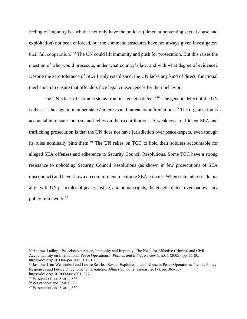feeling of impunity is such that not only have the policies (aimed at preventing sexual abuse and exploitation) not been enforced, but the command structures have not always given investigators their full cooperation.'<sup>63</sup> The UN could lift immunity and push for prosecution. But this raises the question of who would prosecute, under what country's law, and with what degree of evidence? Despite the zero tolerance of SEA firmly established, the UN lacks any kind of direct, functional mechanism to ensure that offenders face legal consequences for their behavior.

The UN's lack of action is stems from its "genetic defect."<sup>64</sup> The genetic defect of the UN is that it is hostage to member states' interests and bureaucratic limitations.<sup>65</sup> The organization is accountable to state interests and relies on their contributions. A weakness in efficient SEA and trafficking prosecution is that the UN does not have jurisdiction over peacekeepers, even though its rules nominally bind them.<sup>66</sup> The UN relies on TCC to hold their soldiers accountable for alleged SEA offenses and adherence to Security Council Resolutions. Some TCC have a strong resistance to upholding Security Council Resolutions (as shown in few prosecutions of SEA misconduct) and have shown no commitment to enforce SEA policies. When state interests do not align with UN principles of peace, justice, and human rights, the genetic defect overshadows any policy framework.<sup>67</sup>

<sup>63</sup> Andrew Ladley, "Peacekeeper Abuse, Immunity and Impunity: The Need for Effective Criminal and Civil Accountability on International Peace Operations," *Politics and Ethics Review* 1, no. 1 (2005): pp. 81-90, https://doi.org/10.3366/per.2005.1.1.81, 83.

<sup>64</sup> Jasmine-Kim Westendorf and Louise Searle, "Sexual Exploitation and Abuse in Peace Operations: Trends, Policy Responses and Future Directions," *International Affairs* 93, no. 2 (January 2017): pp. 365-387, https://doi.org/10.1093/ia/iix001, 377.

<sup>65</sup> Westendorf and Searle, 376

<sup>66</sup> Westendorf and Searle, 380

<sup>67</sup> Westendorf and Searle, 379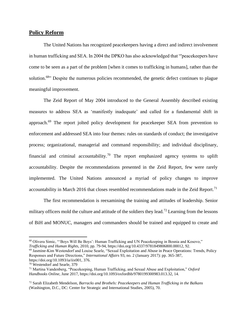## **Policy Reform**

The United Nations has recognized peacekeepers having a direct and indirect involvement in human trafficking and SEA. In 2004 the DPKO has also acknowledged that "'peacekeepers have come to be seen as a part of the problem [when it comes to trafficking in humans], rather than the solution.<sup>68</sup> Despite the numerous policies recommended, the genetic defect continues to plague meaningful improvement.

The Zeid Report of May 2004 introduced to the General Assembly described existing measures to address SEA as 'manifestly inadequate' and called for a fundamental shift in approach.<sup>69</sup> The report jolted policy development for peacekeeper SEA from prevention to enforcement and addressed SEA into four themes: rules on standards of conduct; the investigative process; organizational, managerial and command responsibility; and individual disciplinary, financial and criminal accountability.<sup>70</sup> The report emphasized agency systems to uplift accountability. Despite the recommendations presented in the Zeid Report, few were rarely implemented. The United Nations announced a myriad of policy changes to improve accountability in March 2016 that closes resembled recommendations made in the Zeid Report.<sup>71</sup>

The first recommendation is reexamining the training and attitudes of leadership. Senior military officers mold the culture and attitude of the soldiers they lead.<sup>72</sup> Learning from the lessons of BiH and MONUC, managers and commanders should be trained and equipped to create and

<sup>68</sup> Olivera Simic, "'Boys Will Be Boys': Human Trafficking and UN Peacekeeping in Bosnia and Kosovo," *Trafficking and Human Rights*, 2010, pp. 79-94, https://doi.org/10.4337/9781849806800.00012, 92.

<sup>69</sup> Jasmine-Kim Westendorf and Louise Searle, "Sexual Exploitation and Abuse in Peace Operations: Trends, Policy Responses and Future Directions," *International Affairs* 93, no. 2 (January 2017): pp. 365-387, https://doi.org/10.1093/ia/iix001, 376.

<sup>70</sup> Westendorf and Searle, 379

<sup>71</sup> Martina Vandenberg, "Peacekeeping, Human Trafficking, and Sexual Abuse and Exploitation," *Oxford Handbooks Online*, June 2017, https://doi.org/10.1093/oxfordhb/9780199300983.013.32, 14.

<sup>72</sup> Sarah Elizabeth Mendelson, *Barracks and Brothels: Peacekeepers and Human Trafficking in the Balkans* (Washington, D.C., DC: Center for Strategic and International Studies, 2005), 70.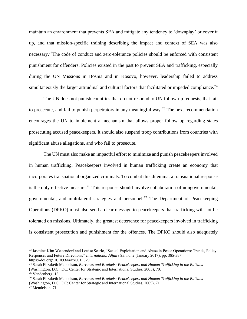maintain an environment that prevents SEA and mitigate any tendency to 'downplay' or cover it up, and that mission-specific training describing the impact and context of SEA was also necessary.<sup>73</sup>The code of conduct and zero-tolerance policies should be enforced with consistent punishment for offenders. Policies existed in the past to prevent SEA and trafficking, especially during the UN Missions in Bosnia and in Kosovo, however, leadership failed to address simultaneously the larger attitudinal and cultural factors that facilitated or impeded compliance.<sup>74</sup>

The UN does not punish countries that do not respond to UN follow-up requests, that fail to prosecute, and fail to punish perpetrators in any meaningful way.<sup>75</sup> The next recommendation encourages the UN to implement a mechanism that allows proper follow up regarding states prosecuting accused peacekeepers. It should also suspend troop contributions from countries with significant abuse allegations, and who fail to prosecute.

The UN must also make an impactful effort to minimize and punish peacekeepers involved in human trafficking. Peacekeepers involved in human trafficking create an economy that incorporates transnational organized criminals. To combat this dilemma, a transnational response is the only effective measure.<sup>76</sup> This response should involve collaboration of nongovernmental, governmental, and multilateral strategies and personnel.<sup>77</sup> The Department of Peacekeeping Operations (DPKO) must also send a clear message to peacekeepers that trafficking will not be tolerated on missions. Ultimately, the greatest deterrence for peacekeepers involved in trafficking is consistent prosecution and punishment for the offences. The DPKO should also adequately

<sup>73</sup> Jasmine-Kim Westendorf and Louise Searle, "Sexual Exploitation and Abuse in Peace Operations: Trends, Policy Responses and Future Directions," *International Affairs* 93, no. 2 (January 2017): pp. 365-387, https://doi.org/10.1093/ia/iix001, 379.

<sup>74</sup> Sarah Elizabeth Mendelson, *Barracks and Brothels: Peacekeepers and Human Trafficking in the Balkans* (Washington, D.C., DC: Center for Strategic and International Studies, 2005), 70.

<sup>75</sup> Vandenberg, 15

<sup>76</sup> Sarah Elizabeth Mendelson, *Barracks and Brothels: Peacekeepers and Human Trafficking in the Balkans* (Washington, D.C., DC: Center for Strategic and International Studies, 2005), 71.

<sup>77</sup> Mendelson, 71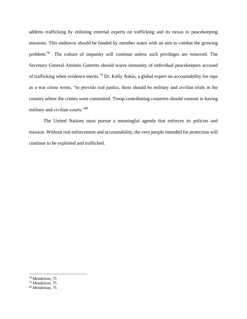address trafficking by enlisting external experts on trafficking and its nexus to peacekeeping missions. This endeavor should be funded by member states with an aim to combat the growing problem.<sup>78</sup> The culture of impunity will continue unless such privileges are removed. The Secretary General António Guterres should waive immunity of individual peacekeepers accused of trafficking when evidence merits.<sup>79</sup> Dr. Kelly Askin, a global expert on accountability for rape as a war crime wrote, "to provide real justice, there should be military and civilian trials in the country where the crimes were committed. Troop-contributing countries should consent to having military and civilian courts."<sup>80</sup>

The United Nations must pursue a meaningful agenda that enforces its policies and mission. Without real enforcement and accountability, the very people intended for protection will continue to be exploited and trafficked.

<sup>78</sup> Mendelson, 75

<sup>79</sup> Mendelson, 75

<sup>80</sup> Mendelson, 75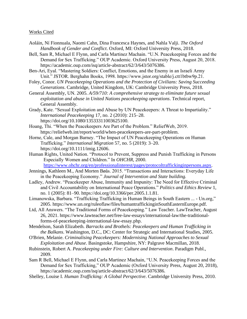#### Works Cited

- Aoláin, Ní Fionnuala, Naomi Cahn, Dina Francesca Haynes, and Nahla Valji. *The Oxford Handbook of Gender and Conflict*. Oxford, MI: Oxford University Press, 2018.
- Bell, Sam R, Michael E Flynn, and Carla Martinez Machain. "U.N. Peacekeeping Forces and the Demand for Sex Trafficking." OUP Academic. Oxford University Press, August 20, 2018. https://academic.oup.com/isq/article-abstract/62/3/643/5076386.
- Ben-Ari, Eyal. "Mastering Soldiers: Conflict, Emotions, and the Enemy in an Israeli Army Unit." JSTOR. Berghahn Books, 1998. https://www.jstor.org/stable/j.ctt1btbw9p.21.
- Foley, Conor. *UN Peacekeeping Operations and the Protection of Civilians: Saving Succeeding Generations*. Cambridge, United Kingdom, UK: Cambridge University Press, 2018.
- General Assembly, UN. 2005. *A/59/710: A comprehensive strategy to eliminate future sexual exploitation and abuse in United Nations peacekeeping operations*. Technical report, General Assembly.
- Grady, Kate. "Sexual Exploitation and Abuse by UN Peacekeepers: A Threat to Impartiality." *International Peacekeeping* 17, no. 2 (2010): 215–28. https://doi.org/10.1080/13533311003625100.
- Hoang, Thi. "When the Peacekeepers Are Part of the Problem." ReliefWeb, 2019. https://reliefweb.int/report/world/when-peacekeepers-are-part-problem.
- Horne, Cale, and Morgan Barney. "The Impact of UN Peacekeeping Operations on Human Trafficking." *International Migration* 57, no. 5 (2019): 3–20. https://doi.org/10.1111/imig.12606.
- Human Rights, United Nation. "Protocol to Prevent, Suppress and Punish Trafficking in Persons Especially Women and Children." In *OHCHR*, 2000.
- [https://www.ohchr.org/en/professionalinterest/pages/protocoltraffickinginpersons.aspx.](https://www.ohchr.org/en/professionalinterest/pages/protocoltraffickinginpersons.aspx) Jennings, Kathleen M., And Morten Bøås. 2015. "Transactions and Interactions: Everyday Life
- in the Peacekeeping Economy." *Journal of Intervention and State building.*
- Ladley, Andrew. "Peacekeeper Abuse, Immunity and Impunity: The Need for Effective Criminal and Civil Accountability on International Peace Operations." *Politics and Ethics Review* 1, no. 1 (2005): 81–90. https://doi.org/10.3366/per.2005.1.1.81.
- Limanowska, Barbara. "Trafficking Trafficking in Human Beings in South Eastern ... Un.org," 2005. https://www.un.org/ruleoflaw/files/humantraffickinginSouthEasternEurope.pdf.
- Ltd, All Answers. "The Traditional Forms of Peacekeeping." Law Teacher. LawTeacher, August 26, 2021. https://www.lawteacher.net/free-law-essays/international-law/the-traditionalforms-of-peacekeeping-international-law-essay.php.
- Mendelson, Sarah Elizabeth. *Barracks and Brothels: Peacekeepers and Human Trafficking in the Balkans*. Washington, D.C., DC: Center for Strategic and International Studies, 2005.
- O'Brien, Melanie. *Criminalising Peacekeepers: Modernising National Approaches to Sexual Exploitation and Abuse*. Basingstoke, Hampshire, NY: Palgrave Macmillan, 2018.
- Rubinstein, Robert A. *Peacekeeping under Fire: Culture and Intervention*. Paradigm Publ., 2009.
- Sam R Bell, Michael E Flynn, and Carla Martinez Machain, "U.N. Peacekeeping Forces and the Demand for Sex Trafficking," OUP Academic (Oxford University Press, August 20, 2018), https://academic.oup.com/isq/article-abstract/62/3/643/5076386.
- Shelley, Louise I. *Human Trafficking: A Global Perspective*. Cambridge University Press, 2010.